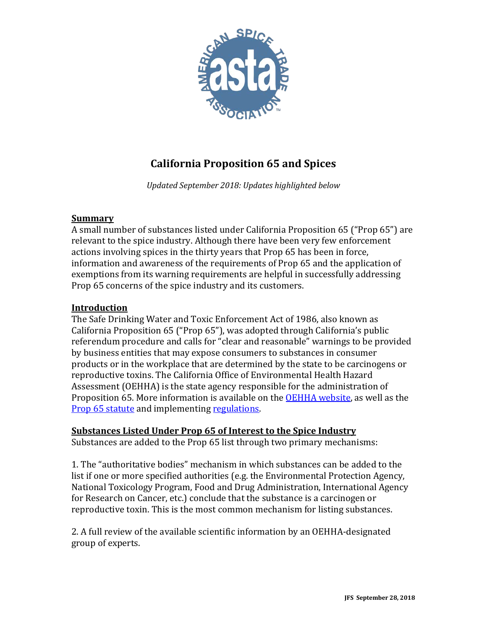

# **California Proposition 65 and Spices**

*Updated September 2018: Updates highlighted below*

## **Summary**

A small number of substances listed under California Proposition 65 ("Prop 65") are relevant to the spice industry. Although there have been very few enforcement actions involving spices in the thirty years that Prop 65 has been in force, information and awareness of the requirements of Prop 65 and the application of exemptions from its warning requirements are helpful in successfully addressing Prop 65 concerns of the spice industry and its customers.

## **Introduction**

The Safe Drinking Water and Toxic Enforcement Act of 1986, also known as California Proposition 65 ("Prop 65"), was adopted through California's public referendum procedure and calls for "clear and reasonable" warnings to be provided by business entities that may expose consumers to substances in consumer products or in the workplace that are determined by the state to be carcinogens or reproductive toxins. The California Office of Environmental Health Hazard Assessment (OEHHA) is the state agency responsible for the administration of Proposition 65. More information is available on the **OEHHA** website, as well as the [Prop 65 statute](http://leginfo.legislature.ca.gov/faces/codes_displayText.xhtml?lawCode=HSC&division=20.&title=&part=&chapter=6.6.&article) and implementing [regulations.](https://govt.westlaw.com/calregs/Browse/Home/California/CaliforniaCodeofRegulations?guid=I42D79370D45011DEA95CA4428EC25FA0&originationContext=documenttoc&transitionType=Default&contextData=%28sc.Default%29)

# **Substances Listed Under Prop 65 of Interest to the Spice Industry**

Substances are added to the Prop 65 list through two primary mechanisms:

1. The "authoritative bodies" mechanism in which substances can be added to the list if one or more specified authorities (e.g. the Environmental Protection Agency, National Toxicology Program, Food and Drug Administration, International Agency for Research on Cancer, etc.) conclude that the substance is a carcinogen or reproductive toxin. This is the most common mechanism for listing substances.

2. A full review of the available scientific information by an OEHHA-designated group of experts.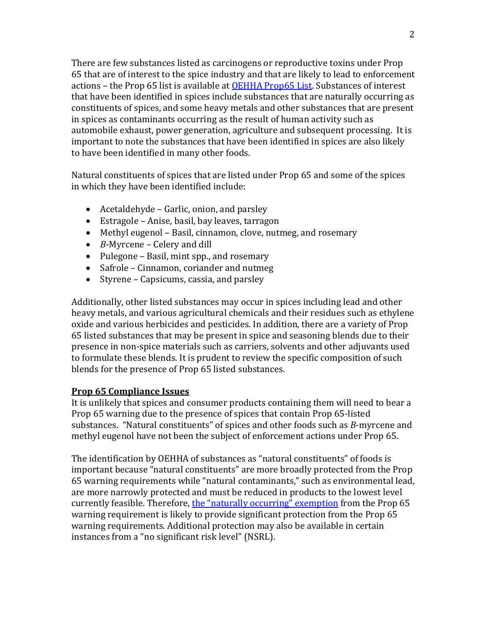There are few substances listed as carcinogens or reproductive toxins under Prop 65 that are of interest to the spice industry and that are likely to lead to enforcement actions – the Prop 65 list is available at [OEHHA Prop65 List.](http://oehha.ca.gov/prop65/prop65_list/Newlist.html) Substances of interest that have been identified in spices include substances that are naturally occurring as constituents of spices, and some heavy metals and other substances that are present in spices as contaminants occurring as the result of human activity such as automobile exhaust, power generation, agriculture and subsequent processing. It is important to note the substances that have been identified in spices are also likely to have been identified in many other foods.

Natural constituents of spices that are listed under Prop 65 and some of the spices in which they have been identified include:

- Acetaldehyde Garlic, onion, and parsley
- Estragole Anise, basil, bay leaves, tarragon
- Methyl eugenol Basil, cinnamon, clove, nutmeg, and rosemary
- *B*-Myrcene Celery and dill
- Pulegone Basil, mint spp., and rosemary
- Safrole Cinnamon, coriander and nutmeg
- Styrene Capsicums, cassia, and parsley

Additionally, other listed substances may occur in spices including lead and other heavy metals, and various agricultural chemicals and their residues such as ethylene oxide and various herbicides and pesticides. In addition, there are a variety of Prop 65 listed substances that may be present in spice and seasoning blends due to their presence in non-spice materials such as carriers, solvents and other adjuvants used to formulate these blends. It is prudent to review the specific composition of such blends for the presence of Prop 65 listed substances.

## **Prop 65 Compliance Issues**

It is unlikely that spices and consumer products containing them will need to bear a Prop 65 warning due to the presence of spices that contain Prop 65-listed substances. "Natural constituents" of spices and other foods such as *B*-myrcene and methyl eugenol have not been the subject of enforcement actions under Prop 65.

The identification by OEHHA of substances as "natural constituents" of foods is important because "natural constituents" are more broadly protected from the Prop 65 warning requirements while "natural contaminants," such as environmental lead, are more narrowly protected and must be reduced in products to the lowest level currently feasible. Therefore, [the "naturally occurring" exemption](http://www.astaspice.org/download/9922/) from the Prop 65 warning requirement is likely to provide significant protection from the Prop 65 warning requirements. Additional protection may also be available in certain instances from a "no significant risk level" (NSRL).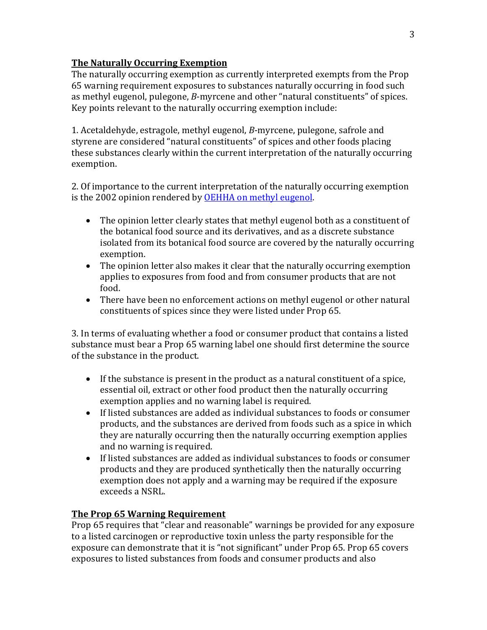# **The Naturally Occurring Exemption**

The naturally occurring exemption as currently interpreted exempts from the Prop 65 warning requirement exposures to substances naturally occurring in food such as methyl eugenol, pulegone, *B*-myrcene and other "natural constituents" of spices. Key points relevant to the naturally occurring exemption include:

1. Acetaldehyde, estragole, methyl eugenol, *B*-myrcene, pulegone, safrole and styrene are considered "natural constituents" of spices and other foods placing these substances clearly within the current interpretation of the naturally occurring exemption.

2. Of importance to the current interpretation of the naturally occurring exemption is the 2002 opinion rendered by [OEHHA on methyl eugenol.](http://www.astaspice.org/download/10378/)

- The opinion letter clearly states that methyl eugenol both as a constituent of the botanical food source and its derivatives, and as a discrete substance isolated from its botanical food source are covered by the naturally occurring exemption.
- The opinion letter also makes it clear that the naturally occurring exemption applies to exposures from food and from consumer products that are not food.
- There have been no enforcement actions on methyl eugenol or other natural constituents of spices since they were listed under Prop 65.

3. In terms of evaluating whether a food or consumer product that contains a listed substance must bear a Prop 65 warning label one should first determine the source of the substance in the product.

- If the substance is present in the product as a natural constituent of a spice, essential oil, extract or other food product then the naturally occurring exemption applies and no warning label is required.
- If listed substances are added as individual substances to foods or consumer products, and the substances are derived from foods such as a spice in which they are naturally occurring then the naturally occurring exemption applies and no warning is required.
- If listed substances are added as individual substances to foods or consumer products and they are produced synthetically then the naturally occurring exemption does not apply and a warning may be required if the exposure exceeds a NSRL.

# **The Prop 65 Warning Requirement**

Prop 65 requires that "clear and reasonable" warnings be provided for any exposure to a listed carcinogen or reproductive toxin unless the party responsible for the exposure can demonstrate that it is "not significant" under Prop 65. Prop 65 covers exposures to listed substances from foods and consumer products and also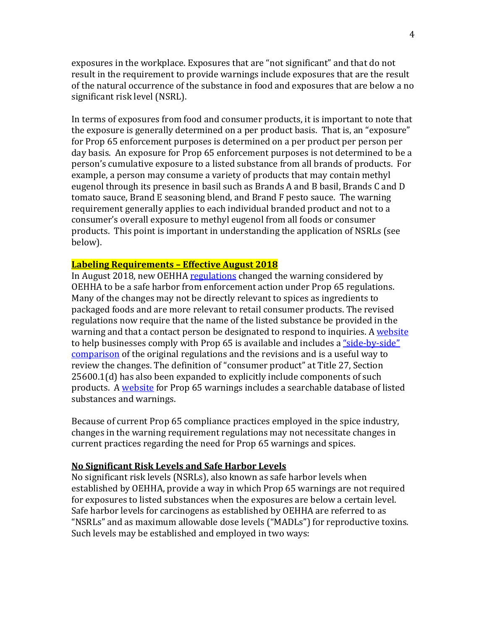exposures in the workplace. Exposures that are "not significant" and that do not result in the requirement to provide warnings include exposures that are the result of the natural occurrence of the substance in food and exposures that are below a no significant risk level (NSRL).

In terms of exposures from food and consumer products, it is important to note that the exposure is generally determined on a per product basis. That is, an "exposure" for Prop 65 enforcement purposes is determined on a per product per person per day basis. An exposure for Prop 65 enforcement purposes is not determined to be a person's cumulative exposure to a listed substance from all brands of products. For example, a person may consume a variety of products that may contain methyl eugenol through its presence in basil such as Brands A and B basil, Brands C and D tomato sauce, Brand E seasoning blend, and Brand F pesto sauce. The warning requirement generally applies to each individual branded product and not to a consumer's overall exposure to methyl eugenol from all foods or consumer products. This point is important in understanding the application of NSRLs (see below).

## **Labeling Requirements – Effective August 2018**

In August 2018, new OEHHA [regulations](https://oehha.ca.gov/media/downloads/crnr/art6regtext120617.pdf) changed the warning considered by OEHHA to be a safe harbor from enforcement action under Prop 65 regulations. Many of the changes may not be directly relevant to spices as ingredients to packaged foods and are more relevant to retail consumer products. The revised regulations now require that the name of the listed substance be provided in the warning and that a contact person be designated to respond to inquiries. [A website](https://www.p65warnings.ca.gov/new-proposition-65-warnings) to help businesses comply with Prop 65 is available and includes a ["side-by-side"](http://www.astaspice.org/download/10375/)  [comparison](http://www.astaspice.org/download/10375/) of the original regulations and the revisions and is a useful way to review the changes. The definition of "consumer product" at Title 27, Section 25600.1(d) has also been expanded to explicitly include components of such products. A [website](https://www.p65warnings.ca.gov/) for Prop 65 warnings includes a searchable database of listed substances and warnings.

Because of current Prop 65 compliance practices employed in the spice industry, changes in the warning requirement regulations may not necessitate changes in current practices regarding the need for Prop 65 warnings and spices.

#### **No Significant Risk Levels and Safe Harbor Levels**

No significant risk levels (NSRLs), also known as safe harbor levels when established by OEHHA, provide a way in which Prop 65 warnings are not required for exposures to listed substances when the exposures are below a certain level. Safe harbor levels for carcinogens as established by OEHHA are referred to as "NSRLs" and as maximum allowable dose levels ("MADLs") for reproductive toxins. Such levels may be established and employed in two ways: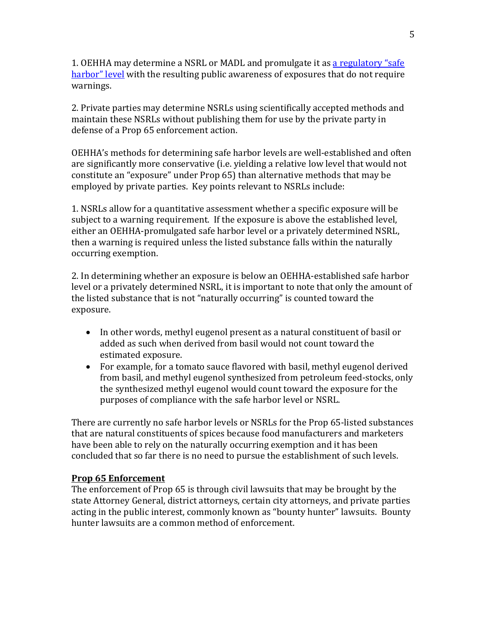1. OEHHA may determine a NSRL or MADL and promulgate it a[s a regulatory "safe](https://oehha.ca.gov/media/downloads/proposition-65/general-info/safeharborlist041218.pdf)  [harbor" level](https://oehha.ca.gov/media/downloads/proposition-65/general-info/safeharborlist041218.pdf) with the resulting public awareness of exposures that do not require warnings.

2. Private parties may determine NSRLs using scientifically accepted methods and maintain these NSRLs without publishing them for use by the private party in defense of a Prop 65 enforcement action.

OEHHA's methods for determining safe harbor levels are well-established and often are significantly more conservative (i.e. yielding a relative low level that would not constitute an "exposure" under Prop 65) than alternative methods that may be employed by private parties. Key points relevant to NSRLs include:

1. NSRLs allow for a quantitative assessment whether a specific exposure will be subject to a warning requirement. If the exposure is above the established level, either an OEHHA-promulgated safe harbor level or a privately determined NSRL, then a warning is required unless the listed substance falls within the naturally occurring exemption.

2. In determining whether an exposure is below an OEHHA-established safe harbor level or a privately determined NSRL, it is important to note that only the amount of the listed substance that is not "naturally occurring" is counted toward the exposure.

- In other words, methyl eugenol present as a natural constituent of basil or added as such when derived from basil would not count toward the estimated exposure.
- For example, for a tomato sauce flavored with basil, methyl eugenol derived from basil, and methyl eugenol synthesized from petroleum feed-stocks, only the synthesized methyl eugenol would count toward the exposure for the purposes of compliance with the safe harbor level or NSRL.

There are currently no safe harbor levels or NSRLs for the Prop 65-listed substances that are natural constituents of spices because food manufacturers and marketers have been able to rely on the naturally occurring exemption and it has been concluded that so far there is no need to pursue the establishment of such levels.

## **Prop 65 Enforcement**

The enforcement of Prop 65 is through civil lawsuits that may be brought by the state Attorney General, district attorneys, certain city attorneys, and private parties acting in the public interest, commonly known as "bounty hunter" lawsuits. Bounty hunter lawsuits are a common method of enforcement.